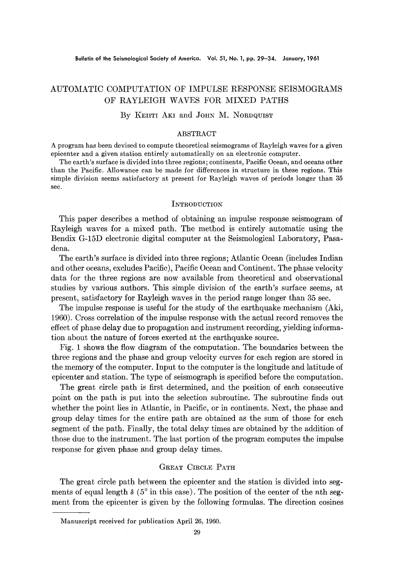# AUTOMATIC COMPUTATION OF IMPULSE RESPONSE SEISMOGRAMS OF RAYLEIGH WAVES FOR MIXED PATHS

## By KEIITI AKI and JOHN M. NORDQUIST

## ABSTRACT

A program has been devised to compute theoretical seismograms of Rayleigh waves for a given epicenter and a given station entirely automatically on an electronic computer.

The earth's surface is divided into three regions; continents, Pacific Ocean, and oceans other than the Pacific. Allowance can be made for differences in structure in these regions. This simple division seems satisfactory at present for Rayleigh waves of periods longer than 35 sec.

#### **INTRODUCTION**

This paper describes a method of obtaining an impulse response seismogram of Rayleigh waves for a mixed path. The method is entirely automatic using the Bendix G-15D electronic digital computer at the Seismological Laboratory, Pasadena.

The earth's surface is divided into three regions; Atlantic Ocean (includes Indian and other oceans, excludes Pacific), Pacific Ocean and Continent. The phase velocity data for the three regions are now available from theoretical and observational studies by various authors. This simple division of the earth's surface seems, at present, satisfactory for Rayleigh waves in the period range longer than 35 sec.

The impulse response is useful for the study of the earthquake mechanism (Aki, 1960). Cross correlation of the impulse response with the actual record removes the effect of phase delay due to propagation and instrument recording, yielding information about the nature of forces exerted at the earthquake source.

Fig. i shows the flow diagram of the computation. The boundaries between the three regions and the phase and group velocity curves for each region are stored in the memory of the computer. Input to the computer is the longitude and latitude of epicenter and station. The type of seismograph is specified before the computation.

The great circle path is first determined, and the position of each consecutive point on the path is put into the selection subroutine. The subroutine finds out whether the point lies in Atlantic, in Pacific, or in continents. Next, the phase and group delay times for the entire path are obtained as the sum of those for each segment of the path. Finally, the total delay times are obtained by the addition of those due to the instrument. The last portion of the program computes the impulse response for given phase and group delay times.

## GREAT CIRCLE PATH

The great circle path between the epicenter and the station is divided into segments of equal length  $\delta$  (5<sup>°</sup> in this case). The position of the center of the *n*th segment from the epicenter is given by the following formulas. The direction cosines

Manuscript received for publication April 26, 1960.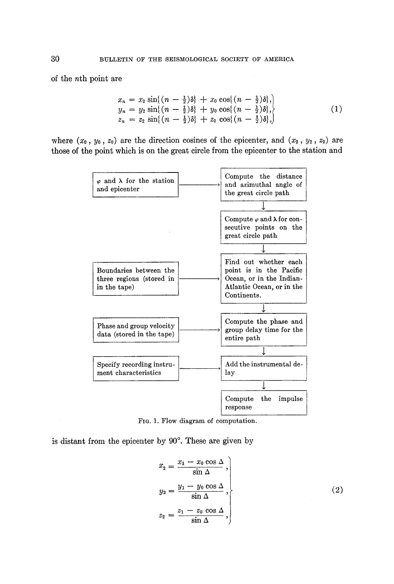of the nth point are

$$
x_n = x_2 \sin\{(n - \frac{1}{2})\delta\} + x_0 \cos\{(n - \frac{1}{2})\delta\},y_n = y_2 \sin\{(n - \frac{1}{2})\delta\} + y_0 \cos\{(n - \frac{1}{2})\delta\},z_n = z_2 \sin\{(n - \frac{1}{2})\delta\} + z_0 \cos\{(n - \frac{1}{2})\delta\},
$$
\n(1)

where  $(x_0, y_0, z_0)$  are the direction cosines of the epicenter, and  $(x_2, y_2, z_2)$  are those of the point which is on the great circle from the epicenter to the station and



FIG. 1. Flow diagram of computation.

is distant from the epicenter by  $90^\circ$ . These are given by

$$
x_2 = \frac{x_1 - x_0 \cos \Delta}{\sin \Delta},
$$
  
\n
$$
y_2 = \frac{y_1 - y_0 \cos \Delta}{\sin \Delta},
$$
  
\n
$$
z_2 = \frac{z_1 - z_0 \cos \Delta}{\sin \Delta},
$$
\n(2)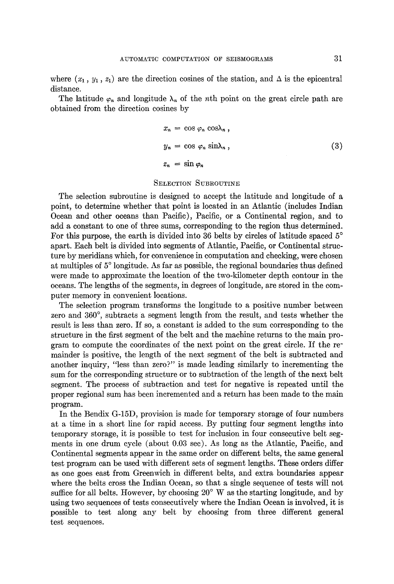where  $(x_1, y_1, z_1)$  are the direction cosines of the station, and  $\Delta$  is the epicentral distance.

The latitude  $\varphi_n$  and longitude  $\lambda_n$  of the *n*th point on the great circle path are obtained from the direction cosines by

$$
x_n = \cos \varphi_n \cos \lambda_n ,
$$
  
\n
$$
y_n = \cos \varphi_n \sin \lambda_n ,
$$
  
\n
$$
z_n = \sin \varphi_n
$$
 (3)

## SELECTION SUBROUTINE

The selection subroutine is designed to accept the latitude and longitude of a point, to determine whether that point is located in an Atlantic (includes Indian Ocean and other oceans than Pacific), Pacific, or a Continental region, and to add a constant to one of three sums, corresponding to the region thus determined. For this purpose, the earth is divided into 36 belts by circles of latitude spaced  $5^{\circ}$ apart. Each belt is divided into segments of Atlantic, Pacific, or Continental structure by meridians which, for convenience in computation and checking, were chosen at multiples of 5 ° longitude. As far as possible, the regional boundaries thus defined were made to approximate the location of the two-kilometer depth contour in the oceans. The lengths of the segments, in degrees of longitude, are stored in the computer memory in convenient locations.

The selection program transforms the longitude to a positive number between zero and 360<sup>°</sup>, subtracts a segment length from the result, and tests whether the result is less than zero. If so, a constant is added to the sum corresponding to the structure in the first segment of the belt and the machine returns to the main program to compute the coordinates of the next point on the great circle. If the remainder is positive, the length of the next segment of the belt is subtracted and another inquiry, "less than zero?" is made leading similarly to incrementing the sum for the corresponding structure or to subtraction of the length of the next belt segment. The process of subtraction and test for negative is repeated until the proper regional sum has been incremented and a return has been made to the main program.

In the Bendix G-15D, provision is made for temporary storage of four numbers at a time in a short line for rapid access. By putting four segment lengths into temporary storage, it is possible to test for inclusion in four consecutive belt segments in one drum cycle (about 0.03 sec). As long as the Atlantic, Pacific, and Continental segments appear in the same order on different belts, the same general test program can be used with different sets of segment lengths. These orders differ as one goes east from Greenwich in different belts, and extra boundaries appear where the belts cross the Indian Ocean, so that a single sequence of tests will not suffice for all belts. However, by choosing  $20^{\circ}$  W as the starting longitude, and by using two sequences of tests consecutively where the Indian Ocean is involved, it is possible to test along any belt by choosing from three different general test sequences.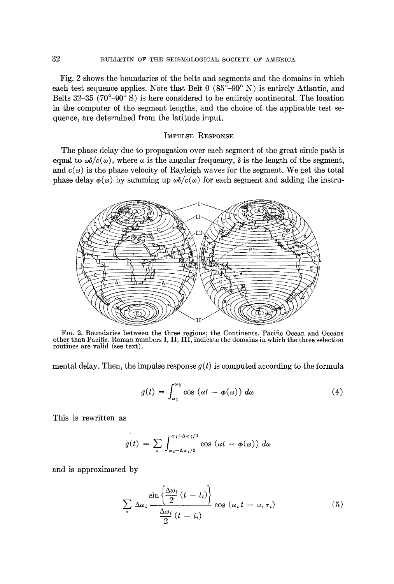Fig. 2 shows the boundaries of the belts and segments and the domains in which each test sequence applies. Note that Belt  $0$  (85°-90° N) is entirely Atlantic, and Belts 32-35 (70°-90 ° S) is here considered to be entirely continental. The location in the computer of the segment lengths, and the choice of the applicable test sequence, are determined from the latitude input.

# IMPULSE RESPONSE

The phase delay due to propagation over each segment of the great circle path is equal to  $\omega \delta/c(\omega)$ , where  $\omega$  is the angular frequency,  $\delta$  is the length of the segment, and  $c(\omega)$  is the phase velocity of Rayleigh waves for the segment. We get the total phase delay  $\phi(\omega)$  by summing up  $\omega \delta/c(\omega)$  for each segment and adding the instru-



FIG. 2. Boundaries between the three regions; the Continents, Pacific Ocean and Oceans other than Pacific. Roman numbers I, II, III, indicate the domains in which the three selection routines are valid (see text).

mental delay. Then, the impulse response  $g(t)$  is computed according to the formula

$$
g(t) = \int_{\omega_1}^{\omega_2} \cos \left(\omega t - \phi(\omega)\right) d\omega \tag{4}
$$

This is rewritten as

$$
g(t) = \sum_{i} \int_{\omega_{i} - \Delta \pi_{i}/2}^{\omega_{i} + \Delta \omega_{i}/2} \cos (\omega t - \phi(\omega)) d\omega
$$

and is approximated by

$$
\sum_{i} \Delta \omega_{i} \frac{\sin \left\{ \frac{\Delta \omega_{i}}{2} (t - t_{i}) \right\}}{\frac{\Delta \omega_{i}}{2} (t - t_{i})} \cos \left( \omega_{i} t - \omega_{i} \tau_{i} \right)
$$
(5)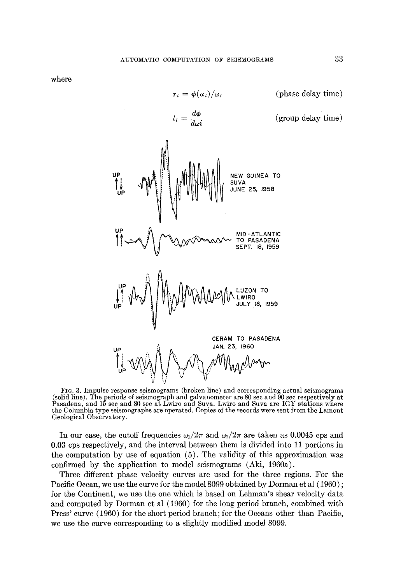where

**uP** 

$$
r_i = \phi(\omega_i)/\omega_i
$$
 (phase delay time)  
\n
$$
t_i = \frac{d\phi}{d\omega i}
$$
 (group delay time)  
\n
$$
\begin{array}{c}\n\text{where } \text{sum}\ \text{ is the same value of } \text{sum}\ \text{ is the same value of } \text{sum}\ \text{ is the same value of } \text{sum}\ \text{ is the same value of } \text{sum}\ \text{ is the same value of } \text{sum}\ \text{ is the same value of } \text{sum}\ \text{ is the same value of } \text{sum}\ \text{ is the same value of } \text{sum}\ \text{ is the same value of } \text{sum}\ \text{ is the same value of } \text{sum}\ \text{ is the same value of } \text{sum}\ \text{ is the same value of } \text{sum}\ \text{ is the same value of } \text{sum}\ \text{ is the same value of } \text{sum}\ \text{ is the same value of } \text{sum}\ \text{ is the same value of } \text{sum}\ \text{ is the same value of } \text{sum}\ \text{ is the same value of } \text{sum}\ \text{ is the same value of } \text{sum}\ \text{ is the same value of } \text{sum}\ \text{ is the same value of } \text{sum}\ \text{ is the same value of } \text{sum}\ \text{ is the same value of } \text{sum}\ \text{ is the same value of } \text{sum}\ \text{ is the same value of } \text{sum}\ \text{ is the same value of } \text{sum}\ \text{ is the same value of } \text{sum}\ \text{ is the same value of } \text{sum}\ \text{ is the same value of } \text{sum}\ \text{ is the same value of } \text{sum}\ \text{ is the same value of } \text{sum}\ \text{ is the same value of } \text{sum}\ \text{ is the same value of } \text{sum}\ \text{ is the same value of } \text{sum}\ \text{ is the same value of } \text{sum}\ \text{ is the same value of } \text{sum}\ \text{ is the same value of } \text{sum}\ \text{ is the same value of } \text{sum}\ \text{ is the same value of } \text{sum}\ \text{ is the same value of } \text{sum}\ \text{ is the same value of } \text{sum}\ \text{ is the same value of } \text{sum}\ \text{ is the same value of } \text{sum}\ \text{ is the same value of } \text{sum}\ \text{ is the same value of } \text{sum}\ \text{ is the same value of } \text{sum}\ \text{ is the same value of } \text{sum}\ \text{ is the same value of } \text{sum}\ \text{ is the same value of } \
$$

FIG. 3. Impulse response seismograms (broken line) and corresponding actual seismograms (solid line). The periods of seismograph and galvanometer are 80 sec and 90 sec respectively at Pasadena, and 15 sec and 80 sec at Lwiro and Suva. Lwiro and Suva are IGY stations where the Columbia type seismographs are operated. Copies of the records were sent from the Lamont Geological Observatory.

In our case, the cutoff frequencies  $\omega_1/2\pi$  and  $\omega_2/2\pi$  are taken as 0.0045 cps and 0.03 cps respectively, and the interval between them is divided into 11 portions in the computation by use of equation (5). The validity of this approximation was confirmed by the application to model seismograms (Aki, 1960a).

Three different phase velocity curves are used for the three regions. For the Pacific Ocean, we use the curve for the model 8099 obtained by Dorman et al (1960) ; for the Continent, we use the one which is based on Lehman's shear velocity data and computed by Dorman et al (1960) for the long period branch, combined with Press' curve (1960) for the short period branch; for the Oceans other than Pacific, we use the curve corresponding to a slightly modified model 8099.